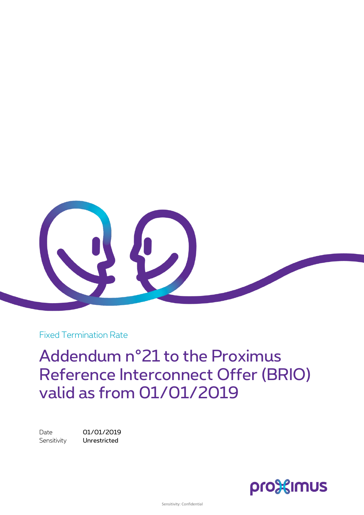

Fixed Termination Rate

Addendum n°21 to the Proximus Reference Interconnect Offer (BRIO) valid as from 01/01/2019

Date 01/01/2019 Sensitivity **Unrestricted** 

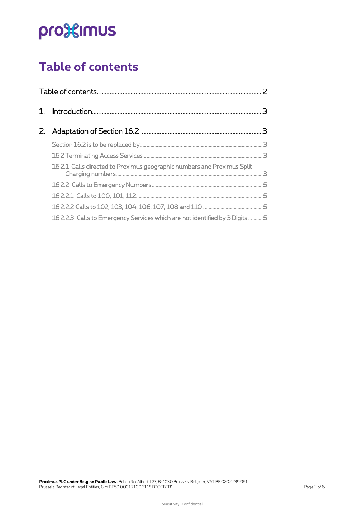# pro<sup>32</sup>imus

### <span id="page-1-0"></span>**Table of contents**

| $Z_{\rm c}$ |                                                                             |  |
|-------------|-----------------------------------------------------------------------------|--|
|             |                                                                             |  |
|             |                                                                             |  |
|             | 16.2.1 Calls directed to Proximus geographic numbers and Proximus Split     |  |
|             |                                                                             |  |
|             |                                                                             |  |
|             |                                                                             |  |
|             | 16.2.2.3 Calls to Emergency Services which are not identified by 3 Digits 5 |  |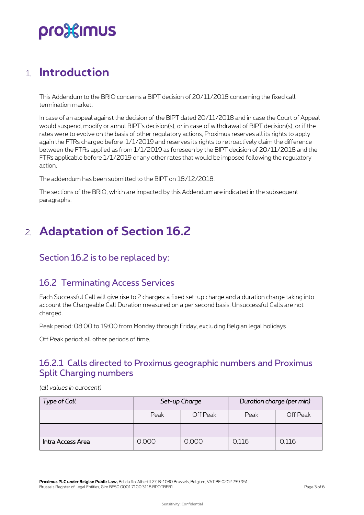## pro%imus

### <span id="page-2-0"></span>1. **Introduction**

This Addendum to the BRIO concerns a BIPT decision of 20/11/2018 concerning the fixed call termination market.

In case of an appeal against the decision of the BIPT dated 20/11/2018 and in case the Court of Appeal would suspend, modify or annul BIPT's decision(s), or in case of withdrawal of BIPT decision(s), or if the rates were to evolve on the basis of other regulatory actions, Proximus reserves all its rights to apply again the FTRs charged before 1/1/2019 and reserves its rights to retroactively claim the difference between the FTRs applied as from 1/1/2019 as foreseen by the BIPT decision of 20/11/2018 and the FTRs applicable before 1/1/2019 or any other rates that would be imposed following the regulatory action.

The addendum has been submitted to the BIPT on 18/12/2018.

<span id="page-2-1"></span>The sections of the BRIO, which are impacted by this Addendum are indicated in the subsequent paragraphs.

### 2. **Adaptation of Section 16.2**

#### <span id="page-2-2"></span>Section 16.2 is to be replaced by:

#### <span id="page-2-3"></span>16.2 Terminating Access Services

Each Successful Call will give rise to 2 charges: a fixed set-up charge and a duration charge taking into account the Chargeable Call Duration measured on a per second basis. Unsuccessful Calls are not charged.

Peak period: 08:00 to 19:00 from Monday through Friday, excluding Belgian legal holidays

Off Peak period: all other periods of time.

#### <span id="page-2-4"></span>16.2.1 Calls directed to Proximus geographic numbers and Proximus Split Charging numbers

*(all values in eurocent)*

| Type of Call      | Set-up Charge |          | Duration charge (per min) |          |
|-------------------|---------------|----------|---------------------------|----------|
|                   | Peak          | Off Peak | Peak                      | Off Peak |
|                   |               |          |                           |          |
| Intra Access Area | 0,000         | 0,000    | 0.116                     | 0,116    |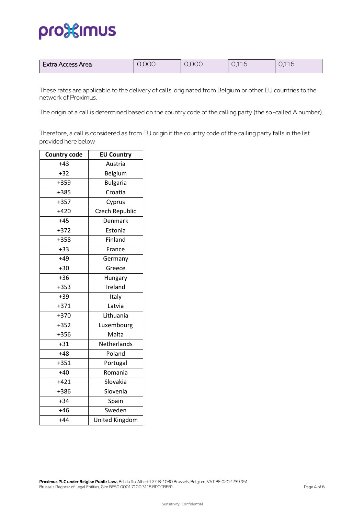### pro<sup>32</sup>imus

| Extra Access Area | 0.000 | 0.000 | 0,116 | $\cap$ 11 $\cap$<br>◡.⊥⊥◡ |
|-------------------|-------|-------|-------|---------------------------|
|-------------------|-------|-------|-------|---------------------------|

These rates are applicable to the delivery of calls, originated from Belgium or other EU countries to the network of Proximus.

The origin of a call is determined based on the country code of the calling party (the so-called A number).

Therefore, a call is considered as from EU origin if the country code of the calling party falls in the list provided here below

| <b>Country code</b> | <b>EU Country</b>     |
|---------------------|-----------------------|
| $+43$               | Austria               |
| $+32$               | Belgium               |
| $+359$              | <b>Bulgaria</b>       |
| $+385$              | Croatia               |
| $+357$              | Cyprus                |
| $+420$              | Czech Republic        |
| $+45$               | Denmark               |
| $+372$              | Estonia               |
| $+358$              | Finland               |
| $+33$               | France                |
| $+49$               | Germany               |
| $+30$               | Greece                |
| $+36$               | Hungary               |
| $+353$              | Ireland               |
| $+39$               | Italy                 |
| $+371$              | Latvia                |
| $+370$              | Lithuania             |
| $+352$              | Luxembourg            |
| $+356$              | Malta                 |
| $+31$               | Netherlands           |
| $+48$               | Poland                |
| $+351$              | Portugal              |
| $+40$               | Romania               |
| $+421$              | Slovakia              |
| +386                | Slovenia              |
| $+34$               | Spain                 |
| $+46$               | Sweden                |
| $+44$               | <b>United Kingdom</b> |
|                     |                       |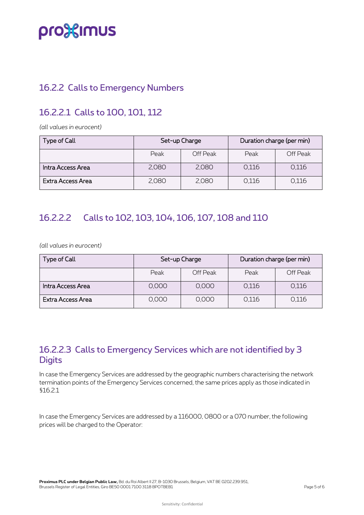## pro<sup>32</sup>imus

#### <span id="page-4-0"></span>16.2.2 Calls to Emergency Numbers

#### <span id="page-4-1"></span>16.2.2.1 Calls to 100, 101, 112

*(all values in eurocent)*

| Type of Call      | Set-up Charge |          | Duration charge (per min) |          |
|-------------------|---------------|----------|---------------------------|----------|
|                   | Peak          | Off Peak | Peak                      | Off Peak |
| Intra Access Area | 2,080         | 2,080    | 0,116                     | 0,116    |
| Extra Access Area | 2,080         | 2,080    | 0,116                     | 0,116    |

#### <span id="page-4-2"></span>16.2.2.2 Calls to 102, 103, 104, 106, 107, 108 and 110

*(all values in eurocent)*

| Type of Call      | Set-up Charge |          | Duration charge (per min) |          |
|-------------------|---------------|----------|---------------------------|----------|
|                   | Peak          | Off Peak | Peak                      | Off Peak |
| Intra Access Area | 0,000         | 0,000    | 0,116                     | 0,116    |
| Extra Access Area | 0.000         | 0,000    | 0,116                     | 0,116    |

#### <span id="page-4-3"></span>16.2.2.3 Calls to Emergency Services which are not identified by 3 **Digits**

In case the Emergency Services are addressed by the geographic numbers characterising the network termination points of the Emergency Services concerned, the same prices apply as those indicated in §16.2.1

In case the Emergency Services are addressed by a 116000, 0800 or a 070 number, the following prices will be charged to the Operator: